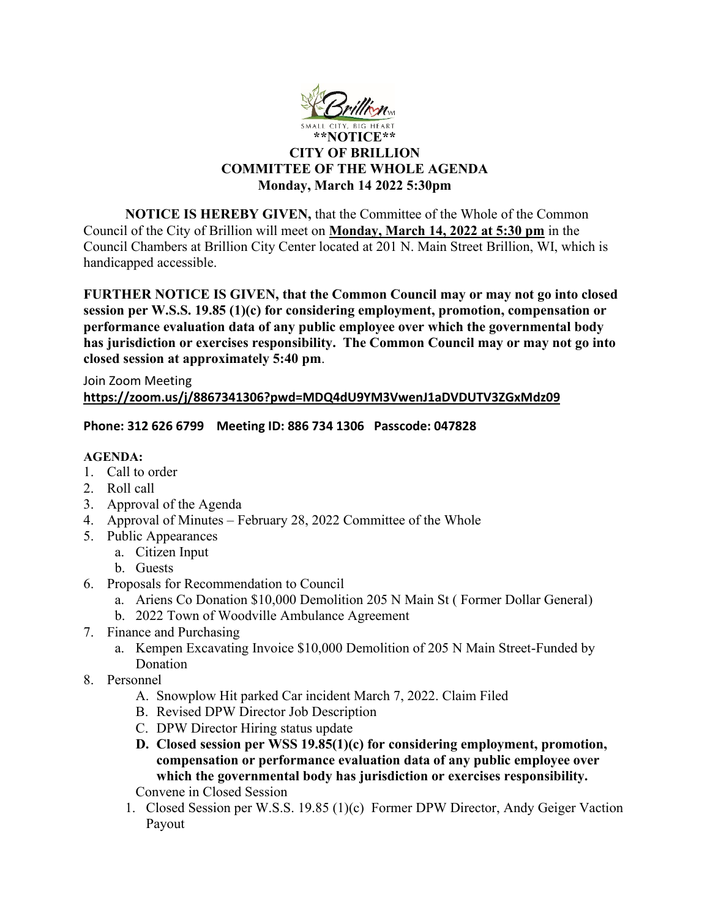

# **CITY OF BRILLION COMMITTEE OF THE WHOLE AGENDA Monday, March 14 2022 5:30pm**

**NOTICE IS HEREBY GIVEN,** that the Committee of the Whole of the Common Council of the City of Brillion will meet on **Monday, March 14, 2022 at 5:30 pm** in the Council Chambers at Brillion City Center located at 201 N. Main Street Brillion, WI, which is handicapped accessible.

**FURTHER NOTICE IS GIVEN, that the Common Council may or may not go into closed session per W.S.S. 19.85 (1)(c) for considering employment, promotion, compensation or performance evaluation data of any public employee over which the governmental body has jurisdiction or exercises responsibility. The Common Council may or may not go into closed session at approximately 5:40 pm**.

Join Zoom Meeting **<https://zoom.us/j/8867341306?pwd=MDQ4dU9YM3VwenJ1aDVDUTV3ZGxMdz09>**

#### **Phone: 312 626 6799 Meeting ID: 886 734 1306 Passcode: 047828**

#### **AGENDA:**

- 1. Call to order
- 2. Roll call
- 3. Approval of the Agenda
- 4. Approval of Minutes February 28, 2022 Committee of the Whole
- 5. Public Appearances
	- a. Citizen Input
	- b. Guests
- 6. Proposals for Recommendation to Council
	- a. Ariens Co Donation \$10,000 Demolition 205 N Main St ( Former Dollar General)
	- b. 2022 Town of Woodville Ambulance Agreement
- 7. Finance and Purchasing
	- a. Kempen Excavating Invoice \$10,000 Demolition of 205 N Main Street-Funded by Donation
- 8. Personnel
	- A. Snowplow Hit parked Car incident March 7, 2022. Claim Filed
	- B. Revised DPW Director Job Description
	- C. DPW Director Hiring status update
	- **D. Closed session per WSS 19.85(1)(c) for considering employment, promotion, compensation or performance evaluation data of any public employee over which the governmental body has jurisdiction or exercises responsibility.**

Convene in Closed Session

1. Closed Session per W.S.S. 19.85 (1)(c) Former DPW Director, Andy Geiger Vaction Payout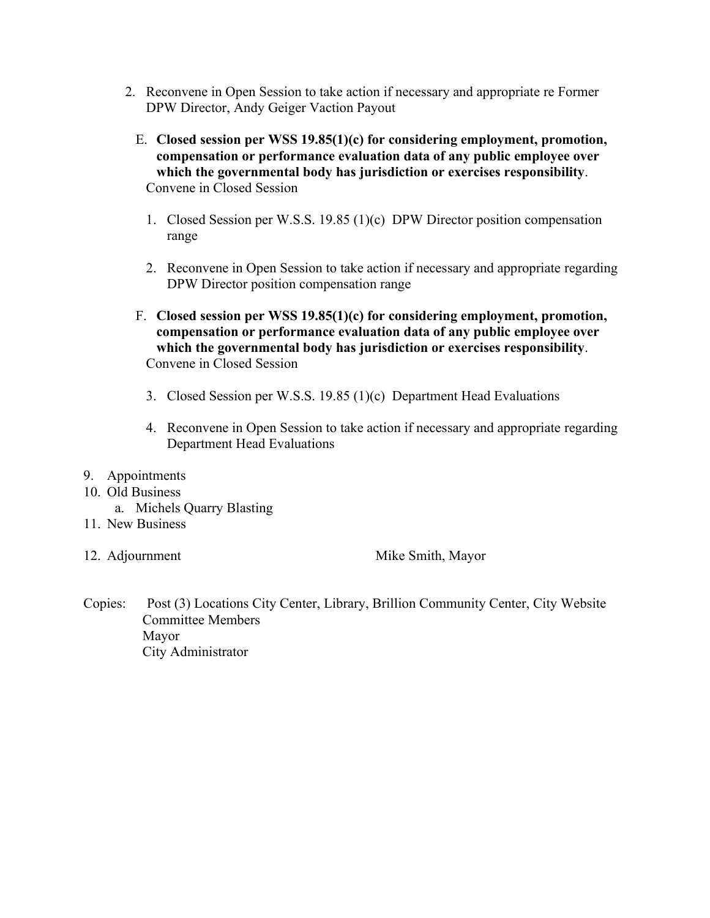- 2. Reconvene in Open Session to take action if necessary and appropriate re Former DPW Director, Andy Geiger Vaction Payout
	- E. **Closed session per WSS 19.85(1)(c) for considering employment, promotion, compensation or performance evaluation data of any public employee over which the governmental body has jurisdiction or exercises responsibility**. Convene in Closed Session
		- 1. Closed Session per W.S.S. 19.85 (1)(c) DPW Director position compensation range
		- 2. Reconvene in Open Session to take action if necessary and appropriate regarding DPW Director position compensation range
	- F. **Closed session per WSS 19.85(1)(c) for considering employment, promotion, compensation or performance evaluation data of any public employee over which the governmental body has jurisdiction or exercises responsibility**. Convene in Closed Session
		- 3. Closed Session per W.S.S. 19.85 (1)(c) Department Head Evaluations
		- 4. Reconvene in Open Session to take action if necessary and appropriate regarding Department Head Evaluations

#### 9. Appointments

- 10. Old Business
	- a. Michels Quarry Blasting
- 11. New Business
- 

12. Adjournment Mike Smith, Mayor

Copies: Post (3) Locations City Center, Library, Brillion Community Center, City Website Committee Members Mayor City Administrator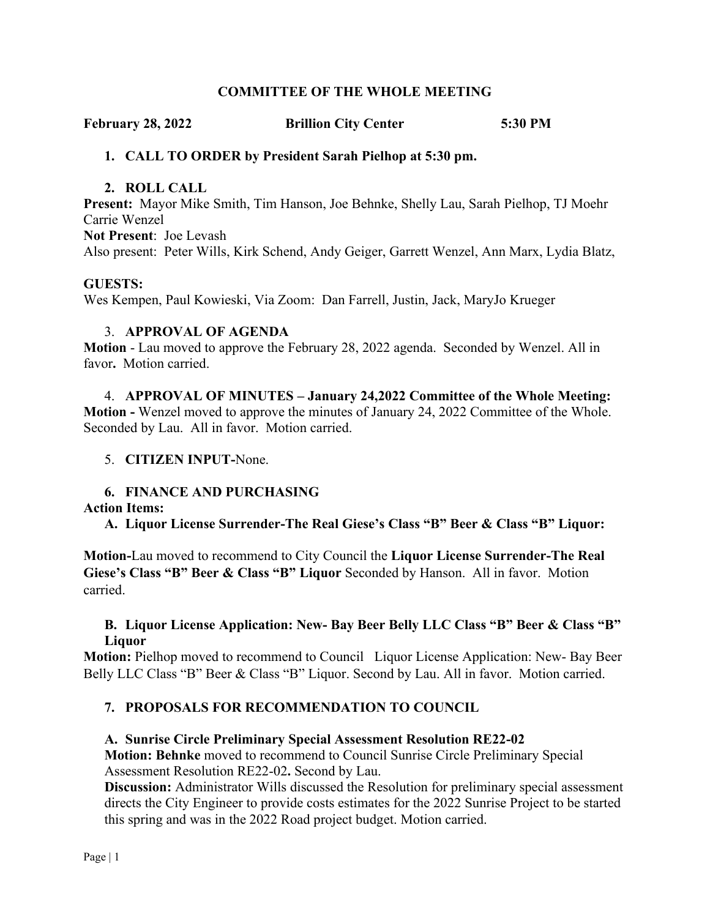#### **COMMITTEE OF THE WHOLE MEETING**

**February 28, 2022 Brillion City Center 5:30 PM**

#### **1. CALL TO ORDER by President Sarah Pielhop at 5:30 pm.**

#### **2. ROLL CALL**

**Present:** Mayor Mike Smith, Tim Hanson, Joe Behnke, Shelly Lau, Sarah Pielhop, TJ Moehr Carrie Wenzel

**Not Present**: Joe Levash Also present: Peter Wills, Kirk Schend, Andy Geiger, Garrett Wenzel, Ann Marx, Lydia Blatz,

#### **GUESTS:**

Wes Kempen, Paul Kowieski, Via Zoom: Dan Farrell, Justin, Jack, MaryJo Krueger

#### 3. **APPROVAL OF AGENDA**

**Motion** - Lau moved to approve the February 28, 2022 agenda. Seconded by Wenzel. All in favor**.** Motion carried.

4. **APPROVAL OF MINUTES – January 24,2022 Committee of the Whole Meeting: Motion -** Wenzel moved to approve the minutes of January 24, 2022 Committee of the Whole. Seconded by Lau. All in favor. Motion carried.

#### 5. **CITIZEN INPUT-**None.

#### **6. FINANCE AND PURCHASING**

#### **Action Items:**

**A. Liquor License Surrender-The Real Giese's Class "B" Beer & Class "B" Liquor:**

**Motion-**Lau moved to recommend to City Council the **Liquor License Surrender-The Real Giese's Class "B" Beer & Class "B" Liquor** Seconded by Hanson. All in favor. Motion carried.

#### **B. Liquor License Application: New- Bay Beer Belly LLC Class "B" Beer & Class "B" Liquor**

**Motion:** Pielhop moved to recommend to Council Liquor License Application: New- Bay Beer Belly LLC Class "B" Beer & Class "B" Liquor. Second by Lau. All in favor. Motion carried.

#### **7. PROPOSALS FOR RECOMMENDATION TO COUNCIL**

#### **A. Sunrise Circle Preliminary Special Assessment Resolution RE22-02**

**Motion: Behnke** moved to recommend to Council Sunrise Circle Preliminary Special Assessment Resolution RE22-02**.** Second by Lau.

**Discussion:** Administrator Wills discussed the Resolution for preliminary special assessment directs the City Engineer to provide costs estimates for the 2022 Sunrise Project to be started this spring and was in the 2022 Road project budget. Motion carried.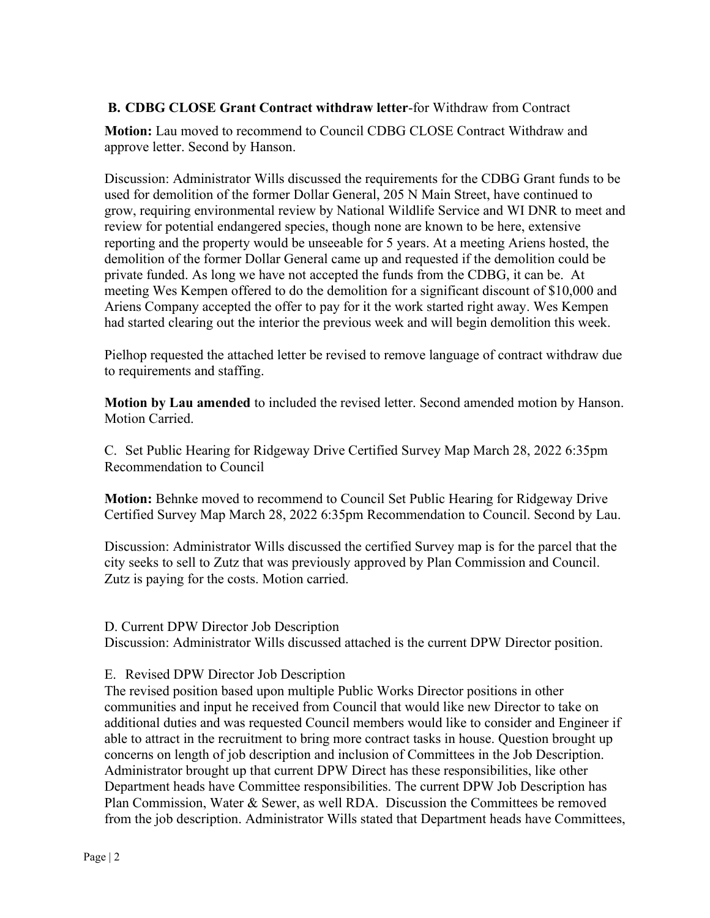#### **B. CDBG CLOSE Grant Contract withdraw letter**-for Withdraw from Contract

**Motion:** Lau moved to recommend to Council CDBG CLOSE Contract Withdraw and approve letter. Second by Hanson.

Discussion: Administrator Wills discussed the requirements for the CDBG Grant funds to be used for demolition of the former Dollar General, 205 N Main Street, have continued to grow, requiring environmental review by National Wildlife Service and WI DNR to meet and review for potential endangered species, though none are known to be here, extensive reporting and the property would be unseeable for 5 years. At a meeting Ariens hosted, the demolition of the former Dollar General came up and requested if the demolition could be private funded. As long we have not accepted the funds from the CDBG, it can be. At meeting Wes Kempen offered to do the demolition for a significant discount of \$10,000 and Ariens Company accepted the offer to pay for it the work started right away. Wes Kempen had started clearing out the interior the previous week and will begin demolition this week.

Pielhop requested the attached letter be revised to remove language of contract withdraw due to requirements and staffing.

**Motion by Lau amended** to included the revised letter. Second amended motion by Hanson. Motion Carried.

C. Set Public Hearing for Ridgeway Drive Certified Survey Map March 28, 2022 6:35pm Recommendation to Council

**Motion:** Behnke moved to recommend to Council Set Public Hearing for Ridgeway Drive Certified Survey Map March 28, 2022 6:35pm Recommendation to Council. Second by Lau.

Discussion: Administrator Wills discussed the certified Survey map is for the parcel that the city seeks to sell to Zutz that was previously approved by Plan Commission and Council. Zutz is paying for the costs. Motion carried.

#### D. Current DPW Director Job Description

Discussion: Administrator Wills discussed attached is the current DPW Director position.

#### E. Revised DPW Director Job Description

The revised position based upon multiple Public Works Director positions in other communities and input he received from Council that would like new Director to take on additional duties and was requested Council members would like to consider and Engineer if able to attract in the recruitment to bring more contract tasks in house. Question brought up concerns on length of job description and inclusion of Committees in the Job Description. Administrator brought up that current DPW Direct has these responsibilities, like other Department heads have Committee responsibilities. The current DPW Job Description has Plan Commission, Water & Sewer, as well RDA. Discussion the Committees be removed from the job description. Administrator Wills stated that Department heads have Committees,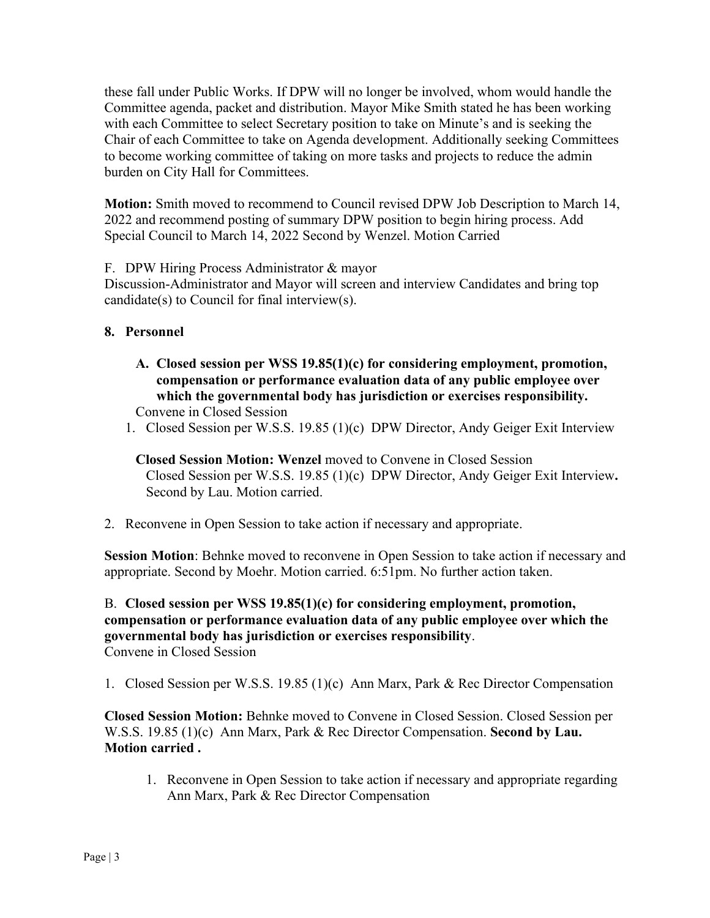these fall under Public Works. If DPW will no longer be involved, whom would handle the Committee agenda, packet and distribution. Mayor Mike Smith stated he has been working with each Committee to select Secretary position to take on Minute's and is seeking the Chair of each Committee to take on Agenda development. Additionally seeking Committees to become working committee of taking on more tasks and projects to reduce the admin burden on City Hall for Committees.

**Motion:** Smith moved to recommend to Council revised DPW Job Description to March 14, 2022 and recommend posting of summary DPW position to begin hiring process. Add Special Council to March 14, 2022 Second by Wenzel. Motion Carried

F. DPW Hiring Process Administrator & mayor

Discussion-Administrator and Mayor will screen and interview Candidates and bring top candidate(s) to Council for final interview(s).

#### **8. Personnel**

- **A. Closed session per WSS 19.85(1)(c) for considering employment, promotion, compensation or performance evaluation data of any public employee over which the governmental body has jurisdiction or exercises responsibility.**  Convene in Closed Session
- 1. Closed Session per W.S.S. 19.85 (1)(c) DPW Director, Andy Geiger Exit Interview

**Closed Session Motion: Wenzel** moved to Convene in Closed Session Closed Session per W.S.S. 19.85 (1)(c) DPW Director, Andy Geiger Exit Interview**.** Second by Lau. Motion carried.

2. Reconvene in Open Session to take action if necessary and appropriate.

**Session Motion**: Behnke moved to reconvene in Open Session to take action if necessary and appropriate. Second by Moehr. Motion carried. 6:51pm. No further action taken.

#### B. **Closed session per WSS 19.85(1)(c) for considering employment, promotion, compensation or performance evaluation data of any public employee over which the governmental body has jurisdiction or exercises responsibility**. Convene in Closed Session

1. Closed Session per W.S.S. 19.85 (1)(c) Ann Marx, Park & Rec Director Compensation

**Closed Session Motion:** Behnke moved to Convene in Closed Session. Closed Session per W.S.S. 19.85 (1)(c) Ann Marx, Park & Rec Director Compensation. **Second by Lau. Motion carried .**

1. Reconvene in Open Session to take action if necessary and appropriate regarding Ann Marx, Park & Rec Director Compensation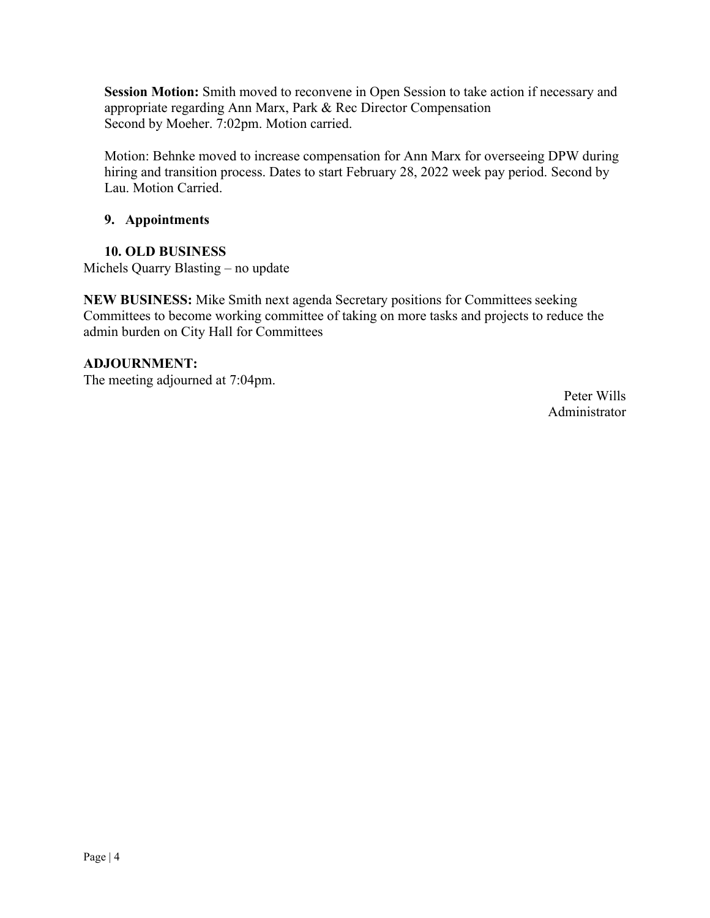**Session Motion:** Smith moved to reconvene in Open Session to take action if necessary and appropriate regarding Ann Marx, Park & Rec Director Compensation Second by Moeher. 7:02pm. Motion carried.

Motion: Behnke moved to increase compensation for Ann Marx for overseeing DPW during hiring and transition process. Dates to start February 28, 2022 week pay period. Second by Lau. Motion Carried.

#### **9. Appointments**

#### **10. OLD BUSINESS**

Michels Quarry Blasting – no update

**NEW BUSINESS:** Mike Smith next agenda Secretary positions for Committees seeking Committees to become working committee of taking on more tasks and projects to reduce the admin burden on City Hall for Committees

#### **ADJOURNMENT:**

The meeting adjourned at 7:04pm.

Peter Wills Administrator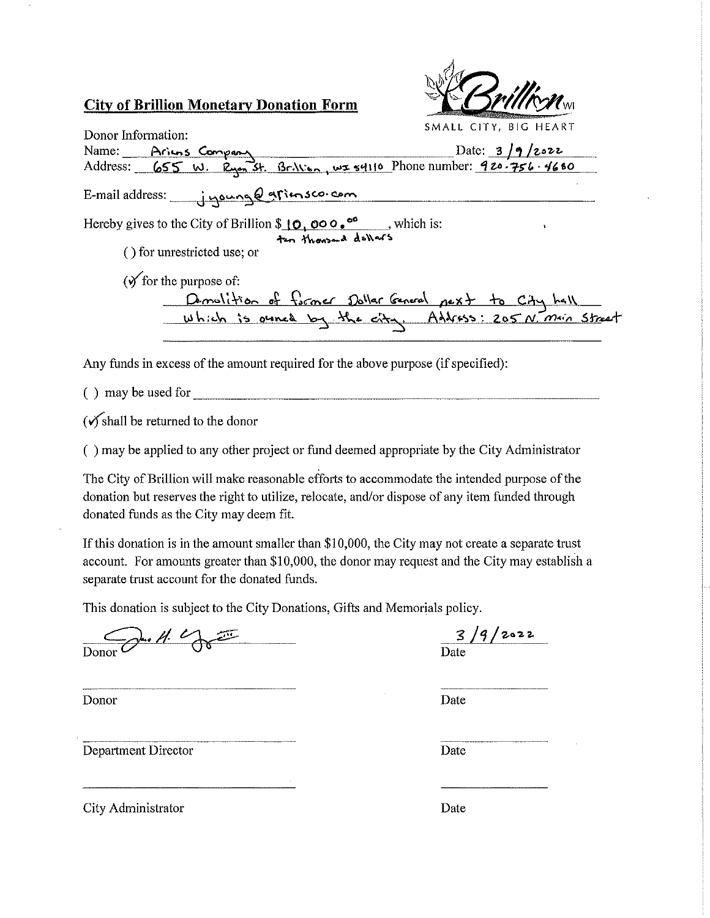## **City of Brillion Monetary Donation Form**



SMALL CITY, BIG HEART Donor Information: Name: <u>Arius Company</u> Date: 3/9/2022<br>Address: 655 W. Ryon St. Brillian, ws 54110 Phone number: 920-756-4680 Date:  $3/9/2022$ E-mail address: jyoung entimsco.com Hereby gives to the City of Brillion \$10,000.<sup>00</sup>, which is:<br>ten thousand dollars () for unrestricted use; or  $(\sqrt{\theta})$  for the purpose of: Demolition of former Dollar General pext to City hall

Any funds in excess of the amount required for the above purpose (if specified):

 $( )$  may be used for

 $(\checkmark)$  shall be returned to the donor

() may be applied to any other project or fund deemed appropriate by the City Administrator

The City of Brillion will make reasonable efforts to accommodate the intended purpose of the donation but reserves the right to utilize, relocate, and/or dispose of any item funded through donated funds as the City may deem fit.

If this donation is in the amount smaller than \$10,000, the City may not create a separate trust account. For amounts greater than \$10,000, the donor may request and the City may establish a separate trust account for the donated funds.

This donation is subject to the City Donations, Gifts and Memorials policy.

 $x^2 + 4$ 

Donor

Department Director

 $3/9/2022$ 

Date

Date

City Administrator

Date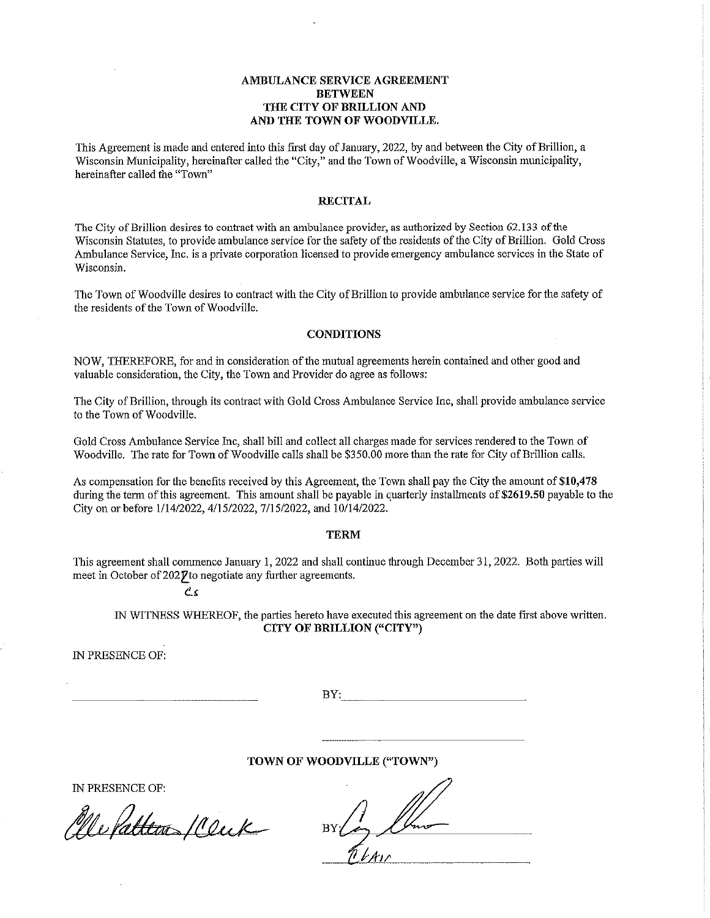#### AMBULANCE SERVICE AGREEMENT **BETWEEN** THE CITY OF BRILLION AND AND THE TOWN OF WOODVILLE.

This Agreement is made and entered into this first day of January, 2022, by and between the City of Brillion, a Wisconsin Municipality, hereinafter called the "City," and the Town of Woodville, a Wisconsin municipality, hereinafter called the "Town"

#### **RECITAL**

The City of Brillion desires to contract with an ambulance provider, as authorized by Section 62.133 of the Wisconsin Statutes, to provide ambulance service for the safety of the residents of the City of Brillion. Gold Cross Ambulance Service, Inc. is a private corporation licensed to provide emergency ambulance services in the State of Wisconsin.

The Town of Woodville desires to contract with the City of Brillion to provide ambulance service for the safety of the residents of the Town of Woodville.

#### **CONDITIONS**

NOW, THEREFORE, for and in consideration of the mutual agreements herein contained and other good and valuable consideration, the City, the Town and Provider do agree as follows:

The City of Brillion, through its contract with Gold Cross Ambulance Service Inc, shall provide ambulance service to the Town of Woodville.

Gold Cross Ambulance Service Inc, shall bill and collect all charges made for services rendered to the Town of Woodville. The rate for Town of Woodville calls shall be \$350.00 more than the rate for City of Brillion calls.

As compensation for the benefits received by this Agreement, the Town shall pay the City the amount of \$10,478 during the term of this agreement. This amount shall be payable in quarterly installments of \$2619.50 payable to the City on or before 1/14/2022, 4/15/2022, 7/15/2022, and 10/14/2022.

#### **TERM**

This agreement shall commence January 1, 2022 and shall continue through December 31, 2022. Both parties will meet in October of 2027 to negotiate any further agreements.

 $\mathcal{C}$ 

IN WITNESS WHEREOF, the parties hereto have executed this agreement on the date first above written. CITY OF BRILLION ("CITY")

IN PRESENCE OF:

 $BY:$ 

TOWN OF WOODVILLE ("TOWN")

IN PRESENCE OF:

Ne Pattern 10 eux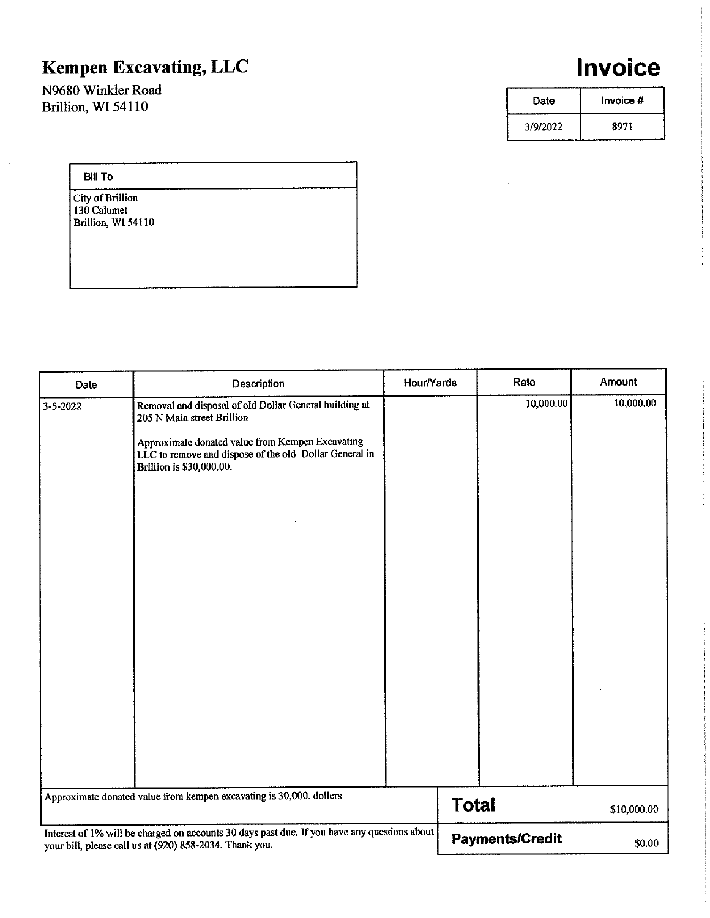# Kempen Excavating, LLC

N9680 Winkler Road Brillion, WI 54110

# Invoice

| Date     | Invoice # |
|----------|-----------|
| 3/9/2022 | 8971      |

#### **Bill To**

 $\hat{\boldsymbol{\beta}}$ 

**City of Brillion** 130 Calumet Brillion, WI 54110

| Date                                                                                                                                                    | Description                                                                                                                                                                                                                    | Hour/Yards |              | Rate                   | <b>Amount</b> |
|---------------------------------------------------------------------------------------------------------------------------------------------------------|--------------------------------------------------------------------------------------------------------------------------------------------------------------------------------------------------------------------------------|------------|--------------|------------------------|---------------|
| 3-5-2022                                                                                                                                                | Removal and disposal of old Dollar General building at<br>205 N Main street Brillion<br>Approximate donated value from Kempen Excavating<br>LLC to remove and dispose of the old Dollar General in<br>Brillion is \$30,000.00. |            |              | 10,000.00              | 10,000.00     |
| Approximate donated value from kempen excavating is 30,000. dollers                                                                                     |                                                                                                                                                                                                                                |            | <b>Total</b> |                        | \$10,000.00   |
| Interest of 1% will be charged on accounts 30 days past due. If you have any questions about<br>your bill, please call us at (920) 858-2034. Thank you. |                                                                                                                                                                                                                                |            |              | <b>Payments/Credit</b> | \$0.00        |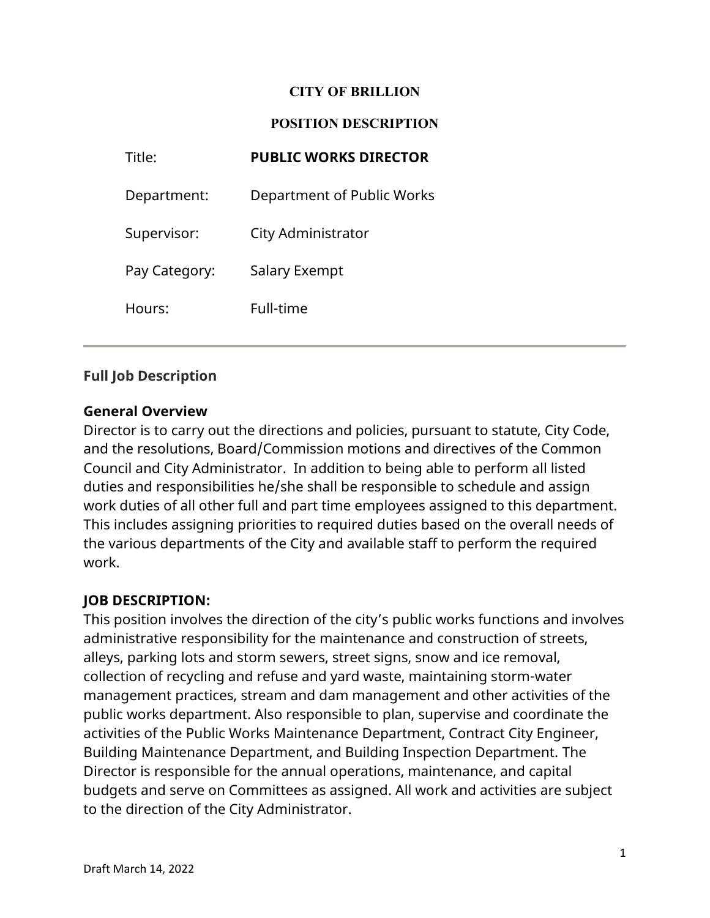#### **CITY OF BRILLION**

#### **POSITION DESCRIPTION**

| Title:        | <b>PUBLIC WORKS DIRECTOR</b> |
|---------------|------------------------------|
| Department:   | Department of Public Works   |
| Supervisor:   | City Administrator           |
| Pay Category: | Salary Exempt                |
| Hours:        | Full-time                    |
|               |                              |

## **Full Job Description**

## **General Overview**

Director is to carry out the directions and policies, pursuant to statute, City Code, and the resolutions, Board/Commission motions and directives of the Common Council and City Administrator. In addition to being able to perform all listed duties and responsibilities he/she shall be responsible to schedule and assign work duties of all other full and part time employees assigned to this department. This includes assigning priorities to required duties based on the overall needs of the various departments of the City and available staff to perform the required work.

## **JOB DESCRIPTION:**

This position involves the direction of the city's public works functions and involves administrative responsibility for the maintenance and construction of streets, alleys, parking lots and storm sewers, street signs, snow and ice removal, collection of recycling and refuse and yard waste, maintaining storm-water management practices, stream and dam management and other activities of the public works department. Also responsible to plan, supervise and coordinate the activities of the Public Works Maintenance Department, Contract City Engineer, Building Maintenance Department, and Building Inspection Department. The Director is responsible for the annual operations, maintenance, and capital budgets and serve on Committees as assigned. All work and activities are subject to the direction of the City Administrator.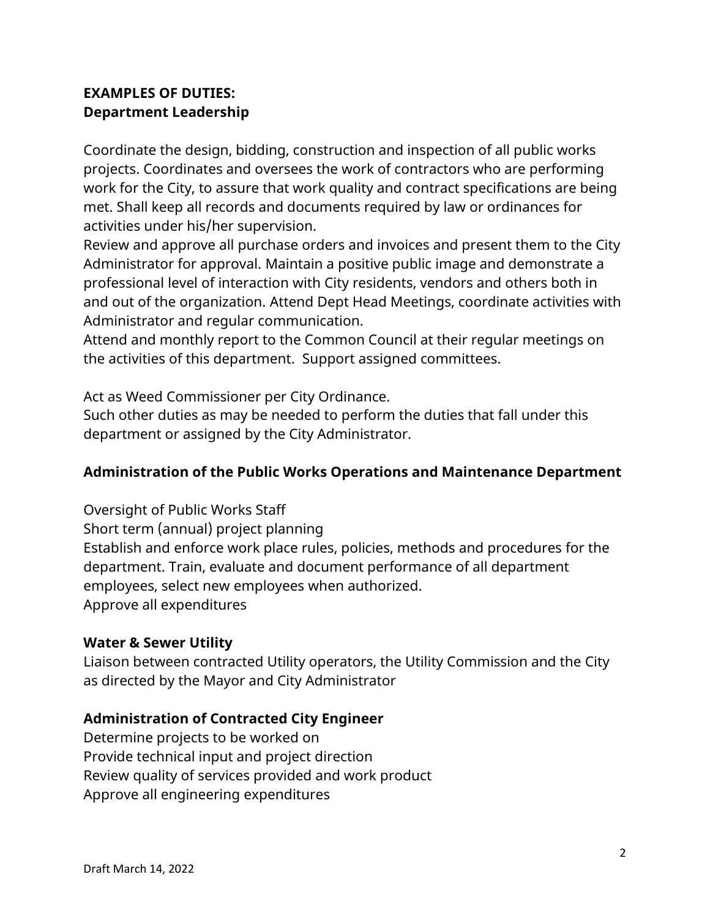# **EXAMPLES OF DUTIES: Department Leadership**

Coordinate the design, bidding, construction and inspection of all public works projects. Coordinates and oversees the work of contractors who are performing work for the City, to assure that work quality and contract specifications are being met. Shall keep all records and documents required by law or ordinances for activities under his/her supervision.

Review and approve all purchase orders and invoices and present them to the City Administrator for approval. Maintain a positive public image and demonstrate a professional level of interaction with City residents, vendors and others both in and out of the organization. Attend Dept Head Meetings, coordinate activities with Administrator and regular communication.

Attend and monthly report to the Common Council at their regular meetings on the activities of this department. Support assigned committees.

Act as Weed Commissioner per City Ordinance.

Such other duties as may be needed to perform the duties that fall under this department or assigned by the City Administrator.

## **Administration of the Public Works Operations and Maintenance Department**

Oversight of Public Works Staff Short term (annual) project planning Establish and enforce work place rules, policies, methods and procedures for the department. Train, evaluate and document performance of all department employees, select new employees when authorized. Approve all expenditures

## **Water & Sewer Utility**

Liaison between contracted Utility operators, the Utility Commission and the City as directed by the Mayor and City Administrator

## **Administration of Contracted City Engineer**

Determine projects to be worked on Provide technical input and project direction Review quality of services provided and work product Approve all engineering expenditures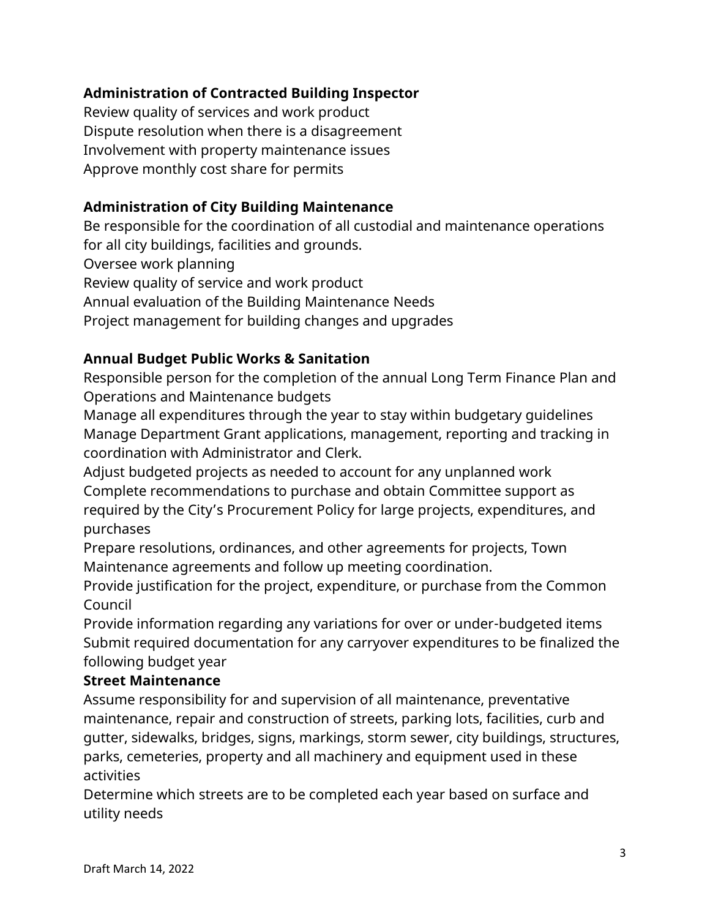## **Administration of Contracted Building Inspector**

Review quality of services and work product Dispute resolution when there is a disagreement Involvement with property maintenance issues Approve monthly cost share for permits

## **Administration of City Building Maintenance**

Be responsible for the coordination of all custodial and maintenance operations for all city buildings, facilities and grounds. Oversee work planning Review quality of service and work product Annual evaluation of the Building Maintenance Needs Project management for building changes and upgrades

## **Annual Budget Public Works & Sanitation**

Responsible person for the completion of the annual Long Term Finance Plan and Operations and Maintenance budgets

Manage all expenditures through the year to stay within budgetary guidelines Manage Department Grant applications, management, reporting and tracking in coordination with Administrator and Clerk.

Adjust budgeted projects as needed to account for any unplanned work Complete recommendations to purchase and obtain Committee support as required by the City's Procurement Policy for large projects, expenditures, and purchases

Prepare resolutions, ordinances, and other agreements for projects, Town Maintenance agreements and follow up meeting coordination.

Provide justification for the project, expenditure, or purchase from the Common Council

Provide information regarding any variations for over or under-budgeted items Submit required documentation for any carryover expenditures to be finalized the following budget year

## **Street Maintenance**

Assume responsibility for and supervision of all maintenance, preventative maintenance, repair and construction of streets, parking lots, facilities, curb and gutter, sidewalks, bridges, signs, markings, storm sewer, city buildings, structures, parks, cemeteries, property and all machinery and equipment used in these activities

Determine which streets are to be completed each year based on surface and utility needs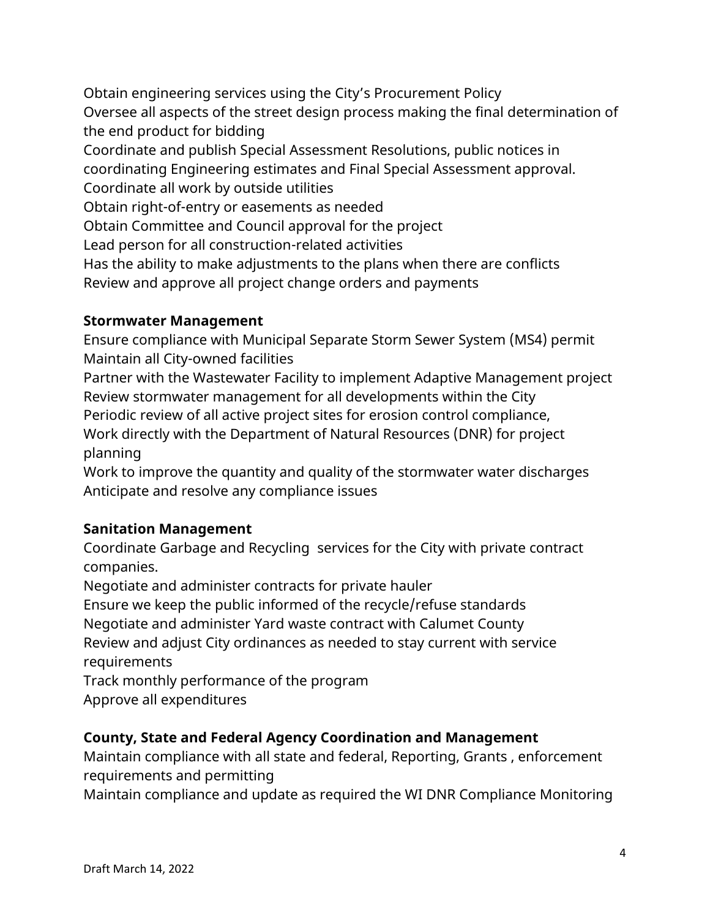Obtain engineering services using the City's Procurement Policy Oversee all aspects of the street design process making the final determination of the end product for bidding Coordinate and publish Special Assessment Resolutions, public notices in coordinating Engineering estimates and Final Special Assessment approval. Coordinate all work by outside utilities Obtain right-of-entry or easements as needed Obtain Committee and Council approval for the project Lead person for all construction-related activities

Has the ability to make adjustments to the plans when there are conflicts Review and approve all project change orders and payments

## **Stormwater Management**

Ensure compliance with Municipal Separate Storm Sewer System (MS4) permit Maintain all City-owned facilities

Partner with the Wastewater Facility to implement Adaptive Management project Review stormwater management for all developments within the City Periodic review of all active project sites for erosion control compliance, Work directly with the Department of Natural Resources (DNR) for project planning

Work to improve the quantity and quality of the stormwater water discharges Anticipate and resolve any compliance issues

## **Sanitation Management**

Coordinate Garbage and Recycling services for the City with private contract companies.

Negotiate and administer contracts for private hauler

Ensure we keep the public informed of the recycle/refuse standards Negotiate and administer Yard waste contract with Calumet County Review and adjust City ordinances as needed to stay current with service requirements

Track monthly performance of the program Approve all expenditures

## **County, State and Federal Agency Coordination and Management**

Maintain compliance with all state and federal, Reporting, Grants , enforcement requirements and permitting

Maintain compliance and update as required the WI DNR Compliance Monitoring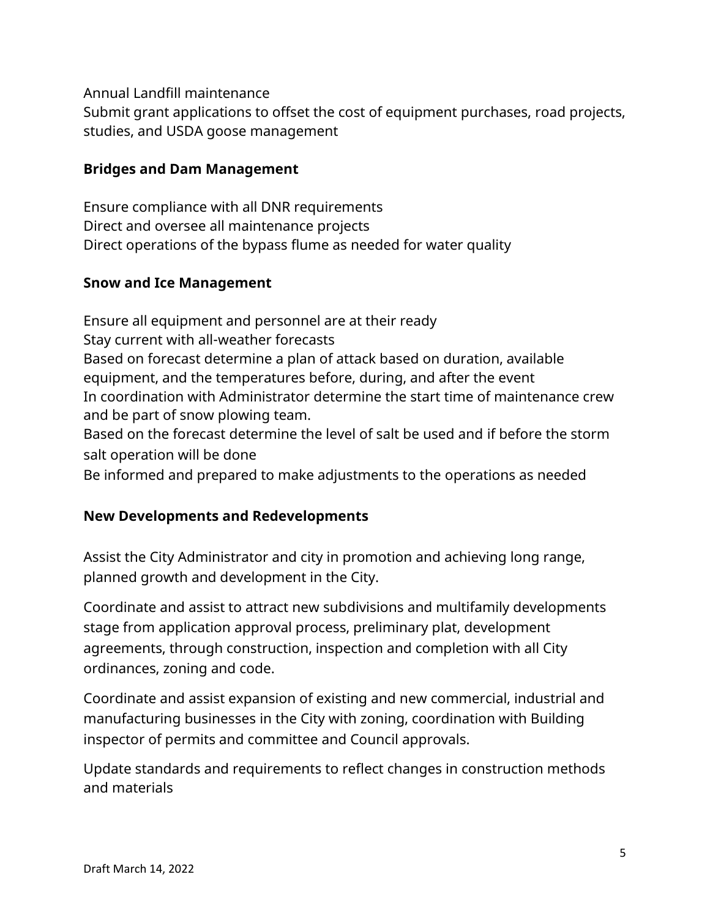Annual Landfill maintenance

Submit grant applications to offset the cost of equipment purchases, road projects, studies, and USDA goose management

## **Bridges and Dam Management**

Ensure compliance with all DNR requirements Direct and oversee all maintenance projects Direct operations of the bypass flume as needed for water quality

## **Snow and Ice Management**

Ensure all equipment and personnel are at their ready Stay current with all-weather forecasts Based on forecast determine a plan of attack based on duration, available equipment, and the temperatures before, during, and after the event In coordination with Administrator determine the start time of maintenance crew and be part of snow plowing team. Based on the forecast determine the level of salt be used and if before the storm salt operation will be done Be informed and prepared to make adjustments to the operations as needed

## **New Developments and Redevelopments**

Assist the City Administrator and city in promotion and achieving long range, planned growth and development in the City.

Coordinate and assist to attract new subdivisions and multifamily developments stage from application approval process, preliminary plat, development agreements, through construction, inspection and completion with all City ordinances, zoning and code.

Coordinate and assist expansion of existing and new commercial, industrial and manufacturing businesses in the City with zoning, coordination with Building inspector of permits and committee and Council approvals.

Update standards and requirements to reflect changes in construction methods and materials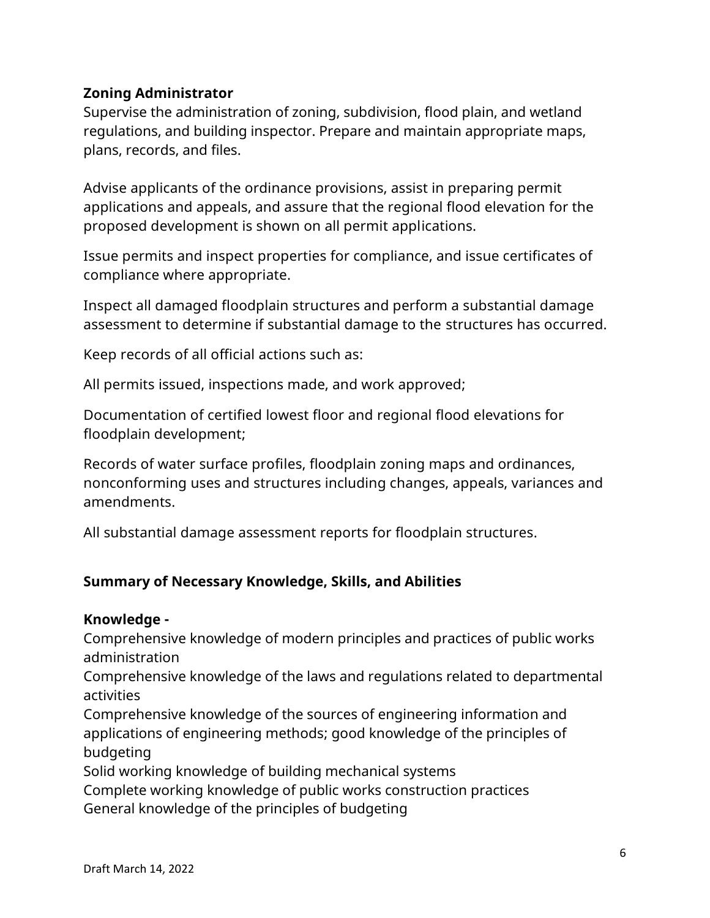## **Zoning Administrator**

Supervise the administration of zoning, subdivision, flood plain, and wetland regulations, and building inspector. Prepare and maintain appropriate maps, plans, records, and files.

Advise applicants of the ordinance provisions, assist in preparing permit applications and appeals, and assure that the regional flood elevation for the proposed development is shown on all permit applications.

Issue permits and inspect properties for compliance, and issue certificates of compliance where appropriate.

Inspect all damaged floodplain structures and perform a substantial damage assessment to determine if substantial damage to the structures has occurred.

Keep records of all official actions such as:

All permits issued, inspections made, and work approved;

Documentation of certified lowest floor and regional flood elevations for floodplain development;

Records of water surface profiles, floodplain zoning maps and ordinances, nonconforming uses and structures including changes, appeals, variances and amendments.

All substantial damage assessment reports for floodplain structures.

## **Summary of Necessary Knowledge, Skills, and Abilities**

## **Knowledge -**

Comprehensive knowledge of modern principles and practices of public works administration

Comprehensive knowledge of the laws and regulations related to departmental activities

Comprehensive knowledge of the sources of engineering information and applications of engineering methods; good knowledge of the principles of budgeting

Solid working knowledge of building mechanical systems

Complete working knowledge of public works construction practices General knowledge of the principles of budgeting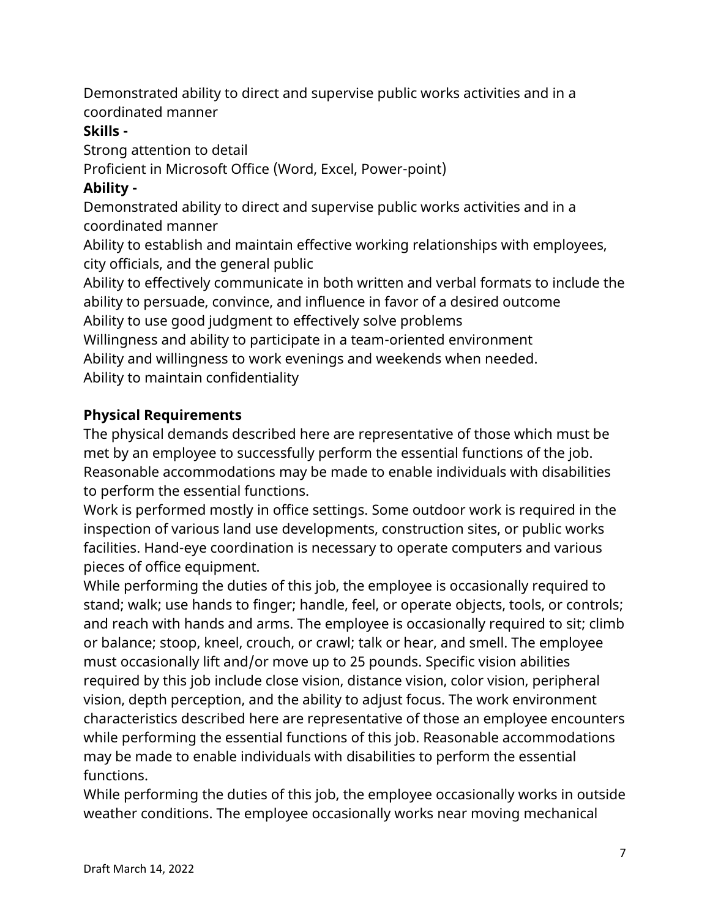Demonstrated ability to direct and supervise public works activities and in a coordinated manner

## **Skills -**

Strong attention to detail

Proficient in Microsoft Office (Word, Excel, Power-point)

# **Ability -**

Demonstrated ability to direct and supervise public works activities and in a coordinated manner

Ability to establish and maintain effective working relationships with employees, city officials, and the general public

Ability to effectively communicate in both written and verbal formats to include the ability to persuade, convince, and influence in favor of a desired outcome Ability to use good judgment to effectively solve problems

Willingness and ability to participate in a team-oriented environment

Ability and willingness to work evenings and weekends when needed. Ability to maintain confidentiality

# **Physical Requirements**

The physical demands described here are representative of those which must be met by an employee to successfully perform the essential functions of the job. Reasonable accommodations may be made to enable individuals with disabilities to perform the essential functions.

Work is performed mostly in office settings. Some outdoor work is required in the inspection of various land use developments, construction sites, or public works facilities. Hand-eye coordination is necessary to operate computers and various pieces of office equipment.

While performing the duties of this job, the employee is occasionally required to stand; walk; use hands to finger; handle, feel, or operate objects, tools, or controls; and reach with hands and arms. The employee is occasionally required to sit; climb or balance; stoop, kneel, crouch, or crawl; talk or hear, and smell. The employee must occasionally lift and/or move up to 25 pounds. Specific vision abilities required by this job include close vision, distance vision, color vision, peripheral vision, depth perception, and the ability to adjust focus. The work environment characteristics described here are representative of those an employee encounters while performing the essential functions of this job. Reasonable accommodations may be made to enable individuals with disabilities to perform the essential functions.

While performing the duties of this job, the employee occasionally works in outside weather conditions. The employee occasionally works near moving mechanical